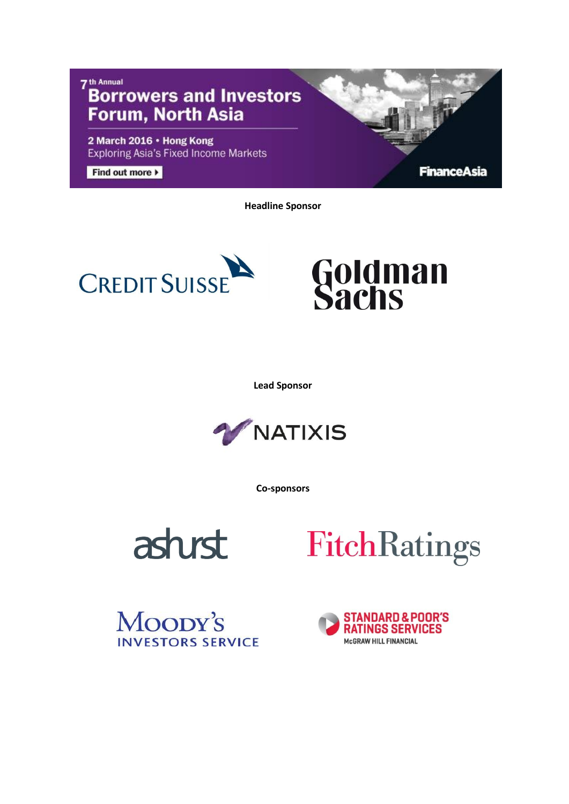## 7<sup>th</sup> Annual **Borrowers and Investors Forum, North Asia**

2 March 2016 . Hong Kong **Exploring Asia's Fixed Income Markets** 

Find out more  $\blacktriangleright$ 

**FinanceAsia** 

**Headline Sponsor**



## **Goldman<br>Sachs**

**Lead Sponsor**



**Co-sponsors**





Moody's **INVESTORS SERVICE** 

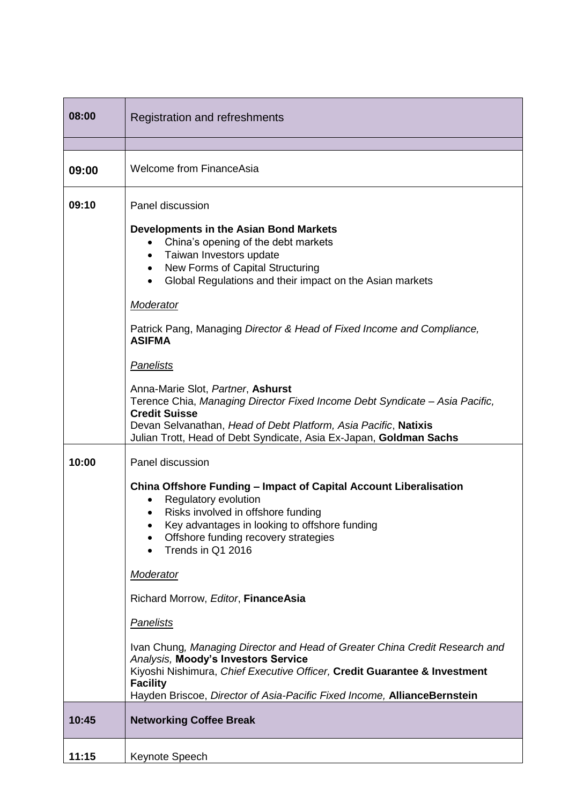| 08:00 | <b>Registration and refreshments</b>                                                                                                                                                                                                                                                           |  |
|-------|------------------------------------------------------------------------------------------------------------------------------------------------------------------------------------------------------------------------------------------------------------------------------------------------|--|
|       |                                                                                                                                                                                                                                                                                                |  |
| 09:00 | <b>Welcome from FinanceAsia</b>                                                                                                                                                                                                                                                                |  |
| 09:10 | Panel discussion                                                                                                                                                                                                                                                                               |  |
|       | Developments in the Asian Bond Markets<br>China's opening of the debt markets<br>Taiwan Investors update<br>$\bullet$<br>New Forms of Capital Structuring<br>$\bullet$<br>Global Regulations and their impact on the Asian markets<br>$\bullet$                                                |  |
|       | Moderator                                                                                                                                                                                                                                                                                      |  |
|       | Patrick Pang, Managing Director & Head of Fixed Income and Compliance,<br><b>ASIFMA</b>                                                                                                                                                                                                        |  |
|       | <b>Panelists</b>                                                                                                                                                                                                                                                                               |  |
|       | Anna-Marie Slot, Partner, Ashurst<br>Terence Chia, Managing Director Fixed Income Debt Syndicate - Asia Pacific,<br><b>Credit Suisse</b><br>Devan Selvanathan, Head of Debt Platform, Asia Pacific, Natixis<br>Julian Trott, Head of Debt Syndicate, Asia Ex-Japan, Goldman Sachs              |  |
| 10:00 | Panel discussion                                                                                                                                                                                                                                                                               |  |
|       | China Offshore Funding - Impact of Capital Account Liberalisation<br>Regulatory evolution<br>٠<br>Risks involved in offshore funding<br>Key advantages in looking to offshore funding<br>Offshore funding recovery strategies<br>Trends in Q1 2016                                             |  |
|       | Moderator                                                                                                                                                                                                                                                                                      |  |
|       | Richard Morrow, Editor, FinanceAsia                                                                                                                                                                                                                                                            |  |
|       | Panelists                                                                                                                                                                                                                                                                                      |  |
|       | Ivan Chung, Managing Director and Head of Greater China Credit Research and<br>Analysis, Moody's Investors Service<br>Kiyoshi Nishimura, Chief Executive Officer, Credit Guarantee & Investment<br><b>Facility</b><br>Hayden Briscoe, Director of Asia-Pacific Fixed Income, AllianceBernstein |  |
| 10:45 | <b>Networking Coffee Break</b>                                                                                                                                                                                                                                                                 |  |
| 11:15 | Keynote Speech                                                                                                                                                                                                                                                                                 |  |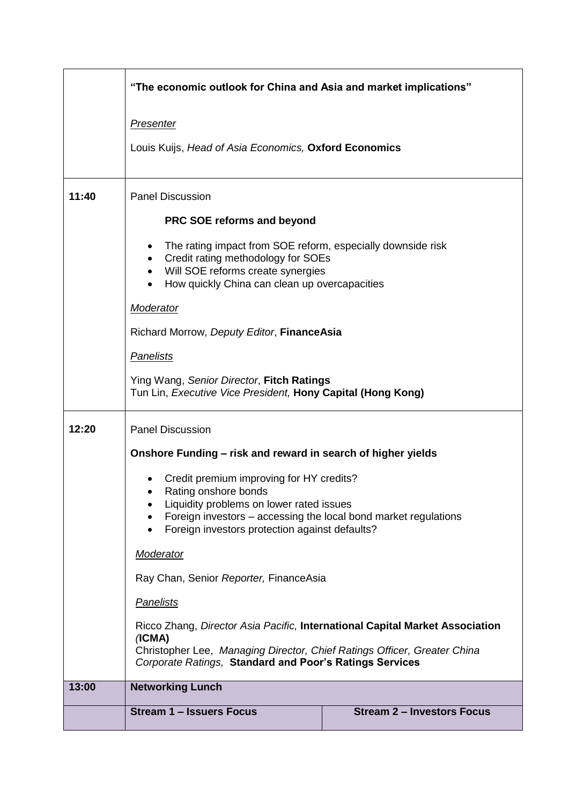|       | "The economic outlook for China and Asia and market implications"                                                                                                                                                                                                                           |                                   |  |  |
|-------|---------------------------------------------------------------------------------------------------------------------------------------------------------------------------------------------------------------------------------------------------------------------------------------------|-----------------------------------|--|--|
|       | <b>Presenter</b>                                                                                                                                                                                                                                                                            |                                   |  |  |
|       | Louis Kuijs, Head of Asia Economics, Oxford Economics                                                                                                                                                                                                                                       |                                   |  |  |
| 11:40 | <b>Panel Discussion</b>                                                                                                                                                                                                                                                                     |                                   |  |  |
|       | <b>PRC SOE reforms and beyond</b>                                                                                                                                                                                                                                                           |                                   |  |  |
|       | The rating impact from SOE reform, especially downside risk<br>$\bullet$<br>Credit rating methodology for SOEs<br>$\bullet$<br>Will SOE reforms create synergies<br>$\bullet$<br>How quickly China can clean up overcapacities<br>$\bullet$                                                 |                                   |  |  |
|       | <b>Moderator</b>                                                                                                                                                                                                                                                                            |                                   |  |  |
|       | Richard Morrow, Deputy Editor, FinanceAsia                                                                                                                                                                                                                                                  |                                   |  |  |
|       | <b>Panelists</b>                                                                                                                                                                                                                                                                            |                                   |  |  |
|       | Ying Wang, Senior Director, Fitch Ratings<br>Tun Lin, Executive Vice President, Hony Capital (Hong Kong)                                                                                                                                                                                    |                                   |  |  |
| 12:20 | <b>Panel Discussion</b>                                                                                                                                                                                                                                                                     |                                   |  |  |
|       | Onshore Funding - risk and reward in search of higher yields                                                                                                                                                                                                                                |                                   |  |  |
|       | Credit premium improving for HY credits?                                                                                                                                                                                                                                                    |                                   |  |  |
|       | Rating onshore bonds<br>Liquidity problems on lower rated issues                                                                                                                                                                                                                            |                                   |  |  |
|       | Foreign investors – accessing the local bond market regulations<br>Foreign investors protection against defaults?                                                                                                                                                                           |                                   |  |  |
|       | <b>Moderator</b>                                                                                                                                                                                                                                                                            |                                   |  |  |
|       | Ray Chan, Senior Reporter, FinanceAsia<br><b>Panelists</b><br>Ricco Zhang, Director Asia Pacific, International Capital Market Association<br>(ICMA)<br>Christopher Lee, Managing Director, Chief Ratings Officer, Greater China<br>Corporate Ratings, Standard and Poor's Ratings Services |                                   |  |  |
|       |                                                                                                                                                                                                                                                                                             |                                   |  |  |
|       |                                                                                                                                                                                                                                                                                             |                                   |  |  |
| 13:00 | <b>Networking Lunch</b>                                                                                                                                                                                                                                                                     |                                   |  |  |
|       | Stream 1 - Issuers Focus                                                                                                                                                                                                                                                                    | <b>Stream 2 - Investors Focus</b> |  |  |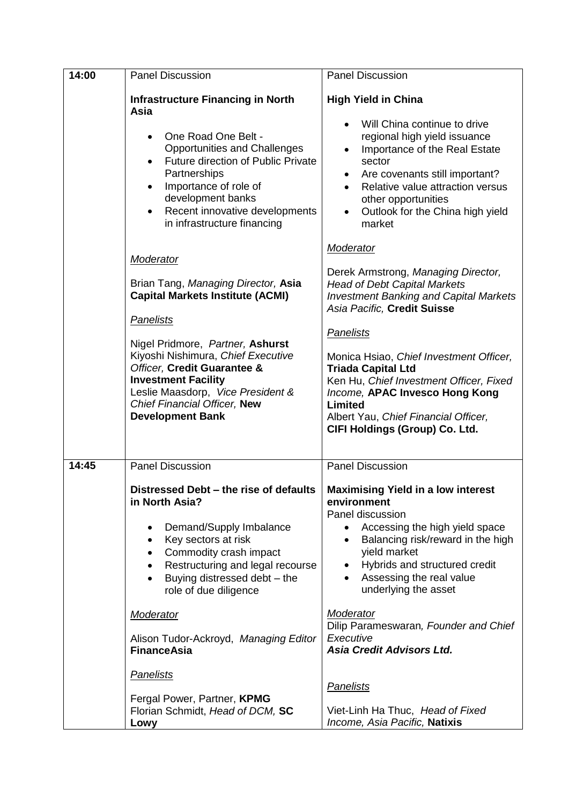| 14:00 | <b>Panel Discussion</b>                                                                                                                                                                                                                                                                                                                                                                                                                                  | <b>Panel Discussion</b>                                                                                                                                                                                                                                                                                                                                                                                                                     |
|-------|----------------------------------------------------------------------------------------------------------------------------------------------------------------------------------------------------------------------------------------------------------------------------------------------------------------------------------------------------------------------------------------------------------------------------------------------------------|---------------------------------------------------------------------------------------------------------------------------------------------------------------------------------------------------------------------------------------------------------------------------------------------------------------------------------------------------------------------------------------------------------------------------------------------|
|       | <b>Infrastructure Financing in North</b><br>Asia<br>One Road One Belt -<br>$\bullet$<br><b>Opportunities and Challenges</b><br><b>Future direction of Public Private</b><br>Partnerships<br>Importance of role of<br>$\bullet$<br>development banks<br>Recent innovative developments<br>in infrastructure financing                                                                                                                                     | <b>High Yield in China</b><br>Will China continue to drive<br>regional high yield issuance<br>Importance of the Real Estate<br>sector<br>Are covenants still important?<br>Relative value attraction versus<br>other opportunities<br>Outlook for the China high yield<br>market                                                                                                                                                            |
|       | Moderator<br>Brian Tang, Managing Director, Asia<br><b>Capital Markets Institute (ACMI)</b><br><b>Panelists</b><br>Nigel Pridmore, Partner, Ashurst<br>Kiyoshi Nishimura, Chief Executive<br>Officer, Credit Guarantee &<br><b>Investment Facility</b><br>Leslie Maasdorp, Vice President &<br>Chief Financial Officer, New<br><b>Development Bank</b>                                                                                                   | Moderator<br>Derek Armstrong, Managing Director,<br><b>Head of Debt Capital Markets</b><br><b>Investment Banking and Capital Markets</b><br>Asia Pacific, Credit Suisse<br>Panelists<br>Monica Hsiao, Chief Investment Officer,<br><b>Triada Capital Ltd</b><br>Ken Hu, Chief Investment Officer, Fixed<br>Income, APAC Invesco Hong Kong<br>Limited<br>Albert Yau, Chief Financial Officer,<br>CIFI Holdings (Group) Co. Ltd.              |
| 14:45 | <b>Panel Discussion</b><br>Distressed Debt - the rise of defaults<br>in North Asia?<br>Demand/Supply Imbalance<br>Key sectors at risk<br>٠<br>Commodity crash impact<br>$\bullet$<br>Restructuring and legal recourse<br>Buying distressed debt - the<br>role of due diligence<br><b>Moderator</b><br>Alison Tudor-Ackroyd, Managing Editor<br><b>FinanceAsia</b><br><b>Panelists</b><br>Fergal Power, Partner, KPMG<br>Florian Schmidt, Head of DCM, SC | <b>Panel Discussion</b><br><b>Maximising Yield in a low interest</b><br>environment<br>Panel discussion<br>Accessing the high yield space<br>Balancing risk/reward in the high<br>yield market<br>Hybrids and structured credit<br>Assessing the real value<br>underlying the asset<br>Moderator<br>Dilip Parameswaran, Founder and Chief<br>Executive<br><b>Asia Credit Advisors Ltd.</b><br>Panelists<br>Viet-Linh Ha Thuc, Head of Fixed |